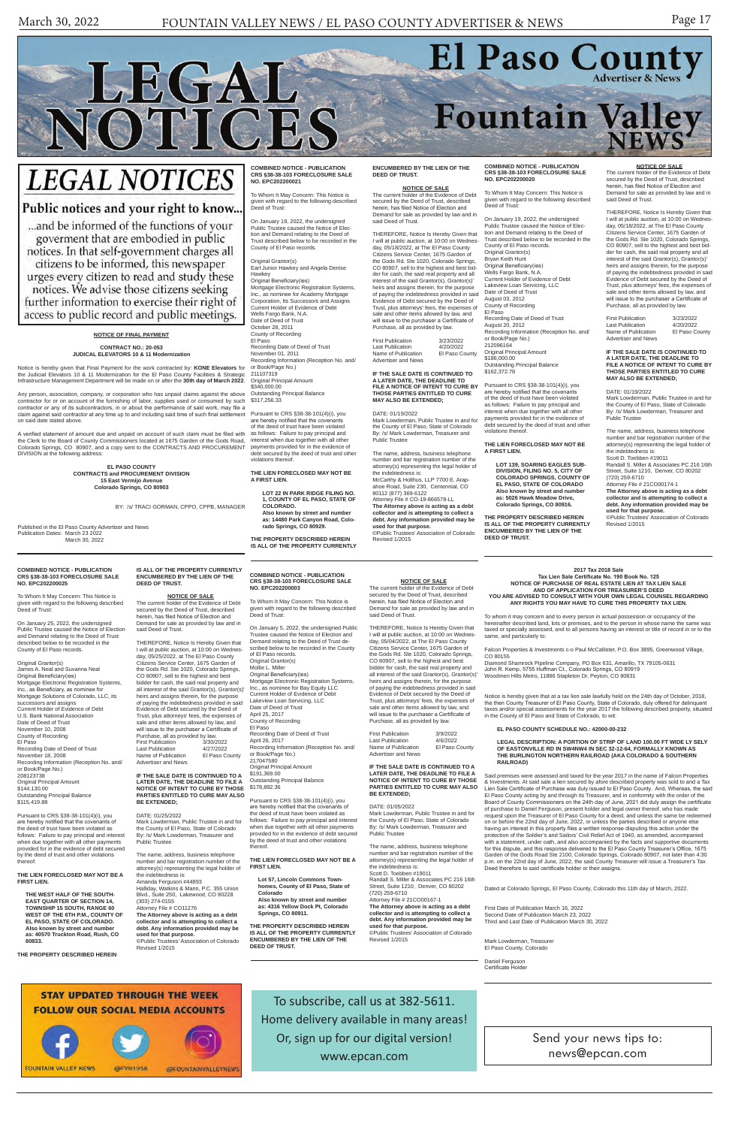# El Paso County Fountain Valley

# **LEGAL NOTICES**

LEGAL

NOTICES

# Public notices and your right to know...

... and be informed of the functions of your goverment that are embodied in public notices. In that self-government charges all citizens to be informed, this newspaper urges every citizen to read and study these notices. We advise those citizens seeking further information to exercise their right of access to public record and public meetings.

> Send your news tips to: news@epcan.com

To subscribe, call us at 382-5611. Home delivery available in many areas! Or, sign up for our digital version! www.epcan.com

#### **COMBINED NOTICE - PUBLICATION CRS §38-38-103 FORECLOSURE SALE NO. EPC202200003**

To Whom It May Concern: This Notice is given with regard to the following described Deed of Trust:

On January 5, 2022, the undersigned Public Trustee caused the Notice of Election and Demand relating to the Deed of Trust described below to be recorded in the County of El Paso records. Original Grantor(s) Mollie L. Miller Original Beneficiary(ies) Current Holder of Evidence of Debt Lakeview Loan Servicing, LLC Date of Deed of Trust April 25, 2017 County of Recording El Paso Recording Date of Deed of Trust April 26, 2017 217047580 Original Principal Amount \$191,369.00 Outstanding Principal Balance \$178,892.36

Mortgage Electronic Registration Systems, Inc., as nominee for Bay Equity LLC Recording Information (Reception No. and/ or Book/Page No.)

**NOTICE OF SALE**<br>The current holder of the Evidence of Debt secured by the Deed of Trust, described herein, has filed Notice of Election and Demand for sale as provided by law and in

Pursuant to CRS §38-38-101(4)(i), you are hereby notified that the covenants of the deed of trust have been violated as follows: Failure to pay principal and interest when due together with all other payments provided for in the evidence of debt secured by the deed of trust and other violations thereof.

Name of Publication Advertiser and News

**THE LIEN FORECLOSED MAY NOT BE A FIRST LIEN.**

**Lot 57, Lincoln Commons Townhomes, County of El Paso, State of Colorado Also known by street and number as: 4316 Yellow Dock Pt, Colorado Springs, CO 80911.**

**THE PROPERTY DESCRIBED HEREIN IS ALL OF THE PROPERTY CURRENTLY ENCUMBERED BY THE LIEN OF THE DEED OF TRUST.**

said Deed of Trust.

Notice is hereby given that at a tax lien sale lawfully held on the 24th day of October, 2018, the then County Treasurer of El Paso County, State of Colorado, duly offered for delinquent<br>taxes and/or special assessments for the year 2017 the following described property, situated<br>in the County of El Paso and State o

THEREFORE, Notice Is Hereby Given that I will at public auction, at 10:00 on Wednes-day, 05/04/2022, at The El Paso County Citizens Service Center, 1675 Garden of the Gods Rd. Ste 1020, Colorado Springs, CO 80907, sell to the highest and best bidder for cash, the said real property and all interest of the said Grantor(s), Grantor(s)' heirs and assigns therein, for the purpose of paying the indebtedness provided in said Evidence of Debt secured by the Deed of Trust, plus attorneys' fees, the expenses of sale and other items allowed by law, and will issue to the purchaser a Certificate of Purchase, all as provided by law. First Publication 3/9/2022 Last Publication 4/6/2022

**IF THE SALE DATE IS CONTINUED TO A LATER DATE, THE DEADLINE TO FILE A NOTICE OF INTENT TO CURE BY THOSE PARTIES ENTITLED TO CURE MAY ALSO** 

**BE EXTENDED;** DATE: 01/05/2022

Mark Lowderman, Public Trustee in and for

the County of El Paso, State of Colorado By: /s/ Mark Lowderman, Treasurer and Public Trustee

The name, address, business telephone number and bar registration number of the attorney(s) representing the legal holder of the indebtedness is: Scott D. Toebben #19011 Randall S. Miller & Associates PC 216 16th Street, Suite 1210, Denver, CO 80202 (720) 259-6710 Attorney File # 21CO00167-1 **The Attorney above is acting as a debt collector and is attempting to collect a** 

> Mark I owderman, Treasurer El Paso County, Colorado

**debt. Any information provided may be used for that purpose.** ©Public Trustees' Association of Colorado Revised 1/2015

#### **2017 Tax 2018 Sale Tax Lien Sale Certificate No. 190 Book No. 125 NOTICE OF PURCHASE OF REAL ESTATE LIEN AT TAX LIEN SALE AND OF APPLICATION FOR TREASURER'S DEED YOU ARE ADVISED TO CONSULT WITH YOUR OWN LEGAL COUNSEL REGARDING ANY RIGHTS YOU MAY HAVE TO CURE THIS PROPERTY TAX LIEN.**

To whom it may concern and to every person in actual possession or occupancy of the hereinafter described land, lots or premises, and to the person in whose name the same was taxed or specially assessed, and to all persons having an interest or title of record in or to the same, and particularly to:

Falcon Properties & Investments c-o Paul McCallister, P.O. Box 3895, Greenwood Village, CO 80155

Diamond Shamrock Pipeline Company, PO Box 631, Amarillo, TX 79105-0631 John R. Kemp, 5755 Huffman Ct., Colorado Springs, CO 80919 Woodmen Hills Metro, 11886 Stapleton Dr, Peyton, CO 80831

Original Principal Amount \$186,000.00 Outstanding Principal Balance \$162,372.78

#### **EL PASO COUNTY SCHEDULE NO.: 42000-00-232**

**LEGAL DESCRIPTION: A PORTION OF STRIP OF LAND 100.00 FT WIDE LY SELY OF EASTONVILLE RD IN SW4NW4 IN SEC 32-12-64, FORMALLY KNOWN AS THE BURLINGTON NORTHERN RAILROAD (AKA COLORADO & SOUTHERN RAILROAD)**

First Publication 3/23/2022<br>Last Publication 4/20/2022 Last Publication 4/20/2022<br>Name of Publication El Paso County Name of Publication Advertiser and News

Said premises were assessed and taxed for the year 2017 in the name of Falcon Properties & Investments. At said sale a lien secured by afore described property was sold to and a Tax Lien Sale Certificate of Purchase was duly issued to El Paso County. And, Whereas, the said El Paso County acting by and through its Treasurer, and in conformity with the order of the Board of County Commissioners on the 24th day of June, 2021 did duly assign the certificate of purchase to Daniel Ferguson, present holder and legal owner thereof, who has made request upon the Treasurer of El Paso County for a deed, and unless the same be redeemed on or before the 22nd day of June, 2022, or unless the parties described or anyone else having an interest in this property files a written response disputing this action under the having an interest in this property files a written response disputing this action under the

Original Grantor(s) Earl Junior Hawkey and Angela Denise Hawkey

> protection of the Soldier's and Sailors' Civil Relief Act of 1940, as amended, accompanied with a statement, under oath, and also accompanied by the facts and supportive documents for this dispute, and this response delivered to the El Paso County Treasurer's Office, 1675 Garden of the Gods Road Ste 2100, Colorado Springs, Colorado 80907, not later than 4:30 p.m. on the 22nd day of June, 2022, the said County Treasurer will issue a Treasurer's Tax Deed therefore to said certificate holder or their assigns.

Dated at Colorado Springs, El Paso County, Colorado this 11th day of March, 2022.

First Date of Publication March 16, 2022 Second Date of Publication March 23, 2022 Third and Last Date of Publication March 30, 2022

Daniel Ferguson Certificate Holder



#### **NOTICE OF FINAL PAYMENT**

#### **CONTRACT NO.: 20-053 JUDICAL ELEVATORS 10 & 11 Modernization**

Notice is hereby given that Final Payment for the work contracted by: **KONE Elevators** for the Judicial Elevators 10 & 11 Modernization for the El Paso County Facilities & Strategic Infrastructure Management Department will be made on or after the **30th day of March 2022**.

First Publication 3/23/2022<br>Last Publication 4/20/2022<br>Name of Publication El Paso County Last Publication 4/20/2022 Name of Publication El Paso County Advertiser and News

Any person, association, company, or corporation who has unpaid claims against the above contractor for or on account of the furnishing of labor, supplies used or consumed by such contractor or any of its subcontractors, in or about the performance of said work, may file a claim against said contractor at any time up to and including said time of such final settlement on said date stated above.

A verified statement of amount due and unpaid on account of such claim must be filed with the Clerk to the Board of County Commissioners located at 1675 Garden of the Gods Road, Colorado Springs, CO 80907, and a copy sent to the CONTRACTS AND PROCUREMENT DIVISION at the following address:

> **EL PASO COUNTY CONTRACTS and PROCUREMENT DIVISION 15 East Vermijo Avenue Colorado Springs, CO 80903**

> > BY: /s/ TRACI GORMAN, CPPO, CPPB, MANAGER

Published in the El Paso County Advertiser and News Publication Dates: March 23 2022 March 30, 2022

Pursuant to CRS §38-38-101(4)(i), you<br>are hereby notified that the covenants of are hereby notified that the cove trust have been violated as follows: Failure to pay principal and interest when due together with all other payments provided for in the evidence of debt secured by the deed of trust and other violations thereof.

\$115,419.88

#### **COMBINED NOTICE - PUBLICATION CRS §38-38-103 FORECLOSURE SALE NO. EPC202200020**

To Whom It May Concern: This Notice is given with regard to the following described Deed of Trust:

THEREFORE, Notice Is Hereby Given that I will at public auction, at 10:00 on Wednesday, 05/25/2022, at The El Paso County Citizens Service Center, 1675 Garden of the Gods Rd. Ste 1020, Colorado Springs CO 80907, sell to the highest and best bidder for cash, the said real property and all interest of the said Grantor(s), Grantor(s)' heirs and assigns therein, for the purpose of paying the indebtedness provided in said Evidence of Debt secured by the Deed of Trust, plus attorneys' fees, the expenses of sale and other items allowed by law, and will issue to the purchaser a Certificate of Purchase, all as provided by law.<br>First Publication 3/30/2022 First Publication 3/30/2022<br>Last Publication 4/27/2022 Last Publication 4/27/2022<br>Name of Publication El Paso County

On January 19, 2022, the undersigned Public Trustee caused the Notice of Elec-tion and Demand relating to the Deed of Trust described below to be recorded in the County of El Paso records. Original Grantor(s) Bryan Keith Hunt Original Beneficiary(ies) Wells Fargo Bank, N.A. Current Holder of Evidence of Debt Lakeview Loan Servicing, LLC Date of Deed of Trust August 03, 2012 County of Recording El Paso

Name of Publication Advertiser and News Recording Date of Deed of Trust August 20, 2012 Recording Information (Reception No. and/ or Book/Page No.) 212096164

Pursuant to CRS §38-38-101(4)(i), you are hereby notified that the cove of the deed of trust have been violated as follows: Failure to pay principal and interest when due together with all other payments provided for in the evidence of debt secured by the deed of trust and other violations thereof.

#### **THE LIEN FORECLOSED MAY NOT BE A FIRST LIEN.**

**LOT 139, SOARING EAGLES SUB-DIVISION, FILING NO. 5, CITY OF COLORADO SPRINGS, COUNTY OF EL PASO, STATE OF COLORADO Also known by street and number as: 5026 Hawk Meadow Drive, Colorado Springs, CO 80916.**

**THE PROPERTY DESCRIBED HEREIN IS ALL OF THE PROPERTY CURRENTLY ENCUMBERED BY THE LIEN OF THE DEED OF TRUST.**

#### **NOTICE OF SALE**

The current holder of the Evidence of Debt secured by the Deed of Trust, described herein, has filed Notice of Election and Demand for sale as provided by law and in said Deed of Trust.

THEREFORE, Notice Is Hereby Given that I will at public auction, at 10:00 on Wednesday, 05/18/2022, at The El Paso County Citizens Service Center, 1675 Garden of the Gods Rd. Ste 1020, Colorado Springs, CO 80907, sell to the highest and best bidder for cash, the said real property and all interest of the said Grantor(s), Grantor(s)' heirs and assigns therein, for the purpose of paying the indebtedness provided in said Evidence of Debt secured by the Deed of Trust, plus attorneys' fees, the expenses of sale and other items allowed by law, and will issue to the purchaser a Certificate of Purchase, all as provided by law.

#### **IF THE SALE DATE IS CONTINUED TO A LATER DATE, THE DEADLINE TO FILE A NOTICE OF INTENT TO CURE BY THOSE PARTIES ENTITLED TO CURE MAY ALSO BE EXTENDED;**

DATE: 01/19/2022

Mark Lowderman, Public Trustee in and for the County of El Paso, State of Colorado By: /s/ Mark Lowderman, Treasurer and Public Trustee

The name, address, business telephone number and bar registration number of the attorney(s) representing the legal holder of the indebtedness is: Scott D. Toebben #19011 Randall S. Miller & Associates PC 216 16th Street, Suite 1210, Denver, CO 80202 (720) 259-6710

Attorney File # 21CO00174-1 **The Attorney above is acting as a debt collector and is attempting to collect a debt. Any information provided may be used for that purpose.** ©Public Trustees' Association of Colorado

Revised 1/2015

### **COMBINED NOTICE - PUBLICATION CRS §38-38-103 FORECLOSURE SALE NO. EPC202200021**

To Whom It May Concern: This Notice is given with regard to the following described Deed of Trust:

On January 19, 2022, the undersigned Public Trustee caused the Notice of Election and Demand relating to the Deed of Trust described below to be recorded in the County of El Paso records.

Original Beneficiary(ies) Mortgage Electronic Registration Systems, Inc., as nominee for Academy Mortgage Corporation, Its Successors and Assigns Current Holder of Evidence of Debt Wells Fargo Bank, N.A. Date of Deed of Trust October 28, 2011 County of Recording El Paso Recording Date of Deed of Trust November 01, 2011 Recording Information (Reception No. and/ or Book/Page No.) 211107319 Original Principal Amount \$340,000.00 Outstanding Principal Balance \$317,256.33

Pursuant to CRS §38-38-101(4)(i), you are hereby notified that the covenants of the deed of trust have been violated as follows: Failure to pay principal and interest when due together with all other payments provided for in the evidence of debt secured by the deed of trust and other violations thereof.

**THE LIEN FORECLOSED MAY NOT BE A FIRST LIEN.**

> **LOT 22 IN PARK RIDGE FILING NO. 1, COUNTY OF EL PASO, STATE OF COLORADO. Also known by street and number as: 14480 Park Canyon Road, Colorado Springs, CO 80929.**

# **THE PROPERTY DESCRIBED HEREIN**

**IS ALL OF THE PROPERTY CURRENTLY** 

# **ENCUMBERED BY THE LIEN OF THE DEED OF TRUST.**

**NOTICE OF SALE** The current holder of the Evidence of Debt secured by the Deed of Trust, described herein, has filed Notice of Election and Demand for sale as provided by law and in said Deed of Trust.

THEREFORE, Notice Is Hereby Given that I will at public auction, at 10:00 on Wednesday, 05/18/2022, at The El Paso County Citizens Service Center, 1675 Garden of the Gods Rd. Ste 1020, Colorado Springs, CO 80907, sell to the highest and best bidder for cash, the said real property and all interest of the said Grantor(s), Grantor(s)' heirs and assigns therein, for the purpose of paying the indebtedness provided in said Evidence of Debt secured by the Deed of Trust, plus attorneys' fees, the expenses of sale and other items allowed by law, and will issue to the purchaser a Certificate of Purchase, all as provided by law.

#### **IF THE SALE DATE IS CONTINUED TO A LATER DATE, THE DEADLINE TO FILE A NOTICE OF INTENT TO CURE BY THOSE PARTIES ENTITLED TO CURE MAY ALSO BE EXTENDED;**

DATE: 01/19/2022 Mark Lowderman, Public Trustee in and for the County of El Paso, State of Colorado By: /s/ Mark Lowderman, Treasurer and Public Trustee

The name, address, business telephone number and bar registration number of the attorney(s) representing the legal holder of the indebtedness is: McCarthy & Holthus, LLP 7700 E. Arap-ahoe Road, Suite 230, Centennial, CO 80112 (877) 369-6122 Attorney File # CO-19-866578-LL **The Attorney above is acting as a debt collector and is attempting to collect a debt. Any information provided may be used for that purpose.**

©Public Trustees' Association of Colorado Revised 1/2015

#### **COMBINED NOTICE - PUBLICATION CRS §38-38-103 FORECLOSURE SALE NO. EPC202200025**

To Whom It May Concern: This Notice is given with regard to the following described Deed of Trust:

On January 25, 2022, the undersigned Public Trustee caused the Notice of Election and Demand relating to the Deed of Trust described below to be recorded in the County of El Paso records.

Original Grantor(s) James A. Neal and Suvanna Neal Original Beneficiary(ies) Mortgage Electronic Registration Systems, Inc., as Beneficiary, as nominee for Mortgage Solutions of Colorado, LLC, its successors and assigns Current Holder of Evidence of Debt U.S. Bank National Association Date of Deed of Trust November 10, 2008 County of Recording El Paso Recording Date of Deed of Trust November 18, 2008 Recording Information (Reception No. and/ or Book/Page No.) 208123738 Original Principal Amount \$144,130.00 Outstanding Principal Balance

#### **THE LIEN FORECLOSED MAY NOT BE A FIRST LIEN.**

**THE WEST HALF OF THE SOUTH-EAST QUARTER OF SECTION 14, TOWNSHIP 15 SOUTH, RANGE 60 WEST OF THE 6TH P.M., COUNTY OF EL PASO, STATE OF COLORADO. Also known by street and number as: 40570 Truckton Road, Rush, CO 80833.**

**THE PROPERTY DESCRIBED HEREIN** 

**IS ALL OF THE PROPERTY CURRENTLY** 

**ENCUMBERED BY THE LIEN OF THE** 

**DEED OF TRUST.**

**NOTICE OF SALE** The current holder of the Evidence of Debt secured by the Deed of Trust, described herein, has filed Notice of Election and Demand for sale as provided by law and in

said Deed of Trust.

**IF THE SALE DATE IS CONTINUED TO A LATER DATE, THE DEADLINE TO FILE A NOTICE OF INTENT TO CURE BY THOSE PARTIES ENTITLED TO CURE MAY ALSO** 

**BE EXTENDED;** DATE: 01/25/2022

Mark Lowderman, Public Trustee in and for the County of El Paso, State of Colorado By: /s/ Mark Lowderman, Treasurer and Public Trustee

The name, address, business telephone number and bar registration number of the attorney(s) representing the legal holder of the indebtedness is: Amanda Ferguson #44893 Halliday, Watkins & Mann, P.C. 355 Union Blvd., Suite 250, Lakewood, CO 80228 (303) 274-0155 Attorney File # CO11276 **The Attorney above is acting as a debt collector and is attempting to collect a debt. Any information provided may be used for that purpose.** ©Public Trustees' Association of Colorado

Revised 1/2015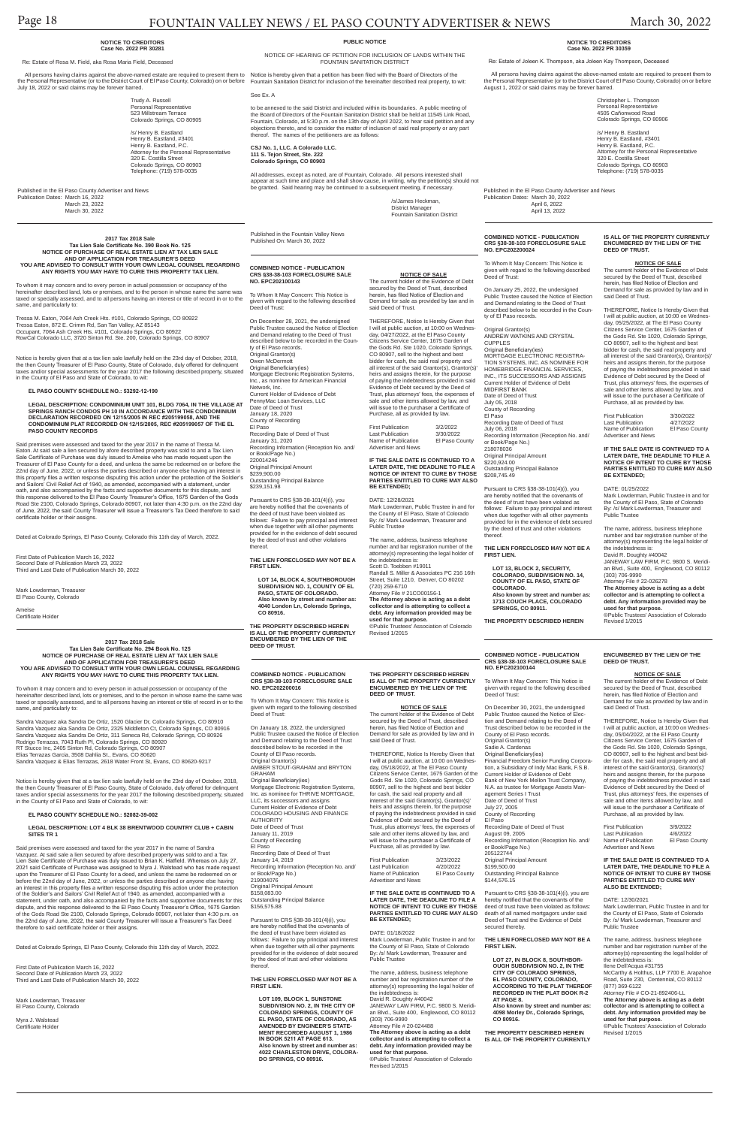# Page 18 FOUNTAIN VALLEY NEWS / EL PASO COUNTY ADVERTISER & NEWS March 30, 2022

#### **COMBINED NOTICE - PUBLICATION CRS §38-38-103 FORECLOSURE SALE NO. EPC202100143**

To Whom It May Concern: This Notice is given with regard to the following described Deed of Trust:

On December 28, 2021, the undersigned Public Trustee caused the Notice of Election and Demand relating to the Deed of Trust described below to be recorded in the County of El Paso records. Original Grantor(s) Owen McDermott Original Beneficiary(ies) Mortgage Electronic Registration Systems, Inc., as nominee for American Financial Network, Inc. Current Holder of Evidence of Debt PennyMac Loan Services, LLC Date of Deed of Trust January 18, 2020 County of Recording El Paso Recording Date of Deed of Trust January 31, 2020 Recording Information (Reception No. and/ or Book/Page No.) 220014246 Original Principal Amount \$239,900.00

**NOTICE OF SALE**<br>The current holder of the Evidence of Debt<br>secured by the Deed of Trust, described herein, has filed Notice of Election and Demand for sale as provided by law and in said Deed of Trust.

Outstanding Principal Balance \$239,151.98

Pursuant to CRS §38-38-101(4)(i), you are hereby notified that the covenants of the deed of trust have been violated as follows: Failure to pay principal and interest when due together with all other payments provided for in the evidence of debt secured by the deed of trust and other violations thereof.

First Publication 3/2/2022<br>Last Publication 3/30/2022 Last Publication 3/30/2022<br>Name of Publication El Paso County Name of Publication Advertiser and News

**THE LIEN FORECLOSED MAY NOT BE A FIRST LIEN.**

**LOT 14, BLOCK 4, SOUTHBOROUGH SUBDIVISION NO. 1, COUNTY OF EL PASO, STATE OF COLORADO. Also known by street and number as: 4040 London Ln, Colorado Springs, CO 80916.**

**THE PROPERTY DESCRIBED HEREIN IS ALL OF THE PROPERTY CURRENTLY ENCUMBERED BY THE LIEN OF THE DEED OF TRUST.**

THEREFORE, Notice Is Hereby Given that I will at public auction, at 10:00 on Wednes-day, 04/27/2022, at the El Paso County Citizens Service Center, 1675 Garden of the Gods Rd. Ste 1020, Colorado Springs, CO 80907, sell to the highest and best bidder for cash, the said real property and all interest of the said Grantor(s), Grantor(s)' heirs and assigns therein, for the purpose of paying the indebtedness provided in said Evidence of Debt secured by the Deed of Trust, plus attorneys' fees, the expenses of sale and other items allowed by law, and will issue to the purchaser a Certificate of Purchase, all as provided by law.

**IF THE SALE DATE IS CONTINUED TO A LATER DATE, THE DEADLINE TO FILE A NOTICE OF INTENT TO CURE BY THOSE PARTIES ENTITLED TO CURE MAY ALSO BE EXTENDED;**

#### DATE: 12/28/2021

Mark Lowderman, Public Trustee in and for the County of El Paso, State of Colorado By: /s/ Mark Lowderman, Treasurer and Public Trustee

The name, address, business telephone number and bar registration number of the attorney(s) representing the legal holder of the indebtedness is: Scott D. Toebben #19011

> First Publication 3/9/2022<br>Last Publication 4/6/2022 Last Publication 4/6/2022<br>Name of Publication El Paso County Name of Publication Advertiser and News

Randall S. Miller & Associates PC 216 16th Street, Suite 1210, Denver, CO 80202 (720) 259-6710

> Mark Lowderman, Public Trustee in and for the County of El Paso, State of Colorado By: /s/ Mark Lowderman, Treasurer and Public Trustee

Attorney File # 21CO00156-1 **The Attorney above is acting as a debt collector and is attempting to collect a debt. Any information provided may be used for that purpose.**

©Public Trustees' Association of Colorado Revised 1/2015

## **COMBINED NOTICE - PUBLICATION CRS §38-38-103 FORECLOSURE SALE NO. EPC202100144**

To Whom It May Concern: This Notice is given with regard to the following described Deed of Trust:

On December 30, 2021, the undersigned Public Trustee caused the Notice of Elec-tion and Demand relating to the Deed of Trust described below to be recorded in the County of El Paso records. Original Grantor(s) Sadie A. Cardenas Original Beneficiary(ies) Financial Freedom Senior Funding Corpora-tion, a Subsidiary of Indy Mac Bank, F.S.B. Current Holder of Evidence of Debt Bank of New York Mellon Trust Company, N.A. as trustee for Mortgage Assets Management Series I Trust Date of Deed of Trust July 27, 2005 County of Recording El Paso

Said premises were assessed and taxed for the year 2017 in the name of Tressa M. Eaton. At said sale a lien secured by afore described property was sold to and a Tax Lien Sale Certificate of Purchase was duly issued to Ameise who has made request upon the Treasurer of El Paso County for a deed, and unless the same be redeemed on or before the 22nd day of June, 2022, or unless the parties described or anyone else having an interest in this property files a written response disputing this action under the protection of the Soldier's and Sailors' Civil Relief Act of 1940, as amended, accompanied with a statement, under oath, and also accompanied by the facts and supportive documents for this dispute, and this response delivered to the El Paso County Treasurer's Office, 1675 Garden of the Gods Road Ste 2100, Colorado Springs, Colorado 80907, not later than 4:30 p.m. on the 22nd day of June, 2022, the said County Treasurer will issue a Treasurer's Tax Deed therefore to said certificate holder or their assigns.

> Recording Date of Deed of Trust August 09, 2005 Recording Information (Reception No. and/ or Book/Page No.) 205122744 **Original Principal Amount** \$199,500.00 Outstanding Principal Balance \$144,576.15

Pursuant to CRS §38-38-101(4)(i), you are hereby notified that the covenants of the deed of trust have been violated as follows: death of all named mortgagors under said Deed of Trust and the Evidence of Debt secured thereby.

#### **THE LIEN FORECLOSED MAY NOT BE A FIRST LIEN.**

**LOT 27, IN BLOCK 8, SOUTHBOR-OUGH SUBDIVISION NO. 2, IN THE CITY OF COLORADO SPRINGS, EL PASO COUNTY, COLORADO, ACCORDING TO THE PLAT THEREOF RECORDED IN THE PLAT BOOK R-2 AT PAGE 8. Also known by street and number as:** 

Mark Lowderman, Treasurer El Paso County, Colorado

> **4098 Morley Dr., Colorado Springs, CO 80916.**

**THE PROPERTY DESCRIBED HEREIN IS ALL OF THE PROPERTY CURRENTLY**  **ENCUMBERED BY THE LIEN OF THE** 

**DEED OF TRUST.**

**NOTICE OF SALE** The current holder of the Evidence of Debt secured by the Deed of Trust, described herein, has filed Notice of Election and Demand for sale as provided by law and in

said Deed of Trust.

THEREFORE, Notice Is Hereby Given that I will at public auction, at 10:00 on Wednesday, 05/04/2022, at the El Paso County Citizens Service Center, 1675 Garden of the Gods Rd. Ste 1020, Colorado Springs, CO 80907, sell to the highest and best bidder for cash, the said real property and all interest of the said Grantor(s), Grantor(s)' heirs and assigns therein, for the purpose

of paying the indebtedness provided in said Evidence of Debt secured by the Deed of Trust, plus attorneys' fees, the expenses of sale and other items allowed by law, and will issue to the purchaser a Certificate of

Purchase, all as provided by law.

#### **IF THE SALE DATE IS CONTINUED TO A LATER DATE, THE DEADLINE TO FILE A NOTICE OF INTENT TO CURE BY THOSE PARTIES ENTITLED TO CURE MAY ALSO BE EXTENDED;**

#### DATE: 12/30/2021

The name, address, business telephone number and bar registration number of the attorney(s) representing the legal holder of the indebtedness is: Ilene Dell'Acqua #31755 McCarthy & Holthus, LLP 7700 E. Arapahoe Road, Suite 230, Centennial, CO 80112 (877) 369-6122 Attorney File # CO-21-892406-LL **The Attorney above is acting as a debt collector and is attempting to collect a debt. Any information provided may be used for that purpose.** ©Public Trustees' Association of Colorado Revised 1/2015

#### **2017 Tax 2018 Sale Tax Lien Sale Certificate No. 390 Book No. 125 NOTICE OF PURCHASE OF REAL ESTATE LIEN AT TAX LIEN SALE AND OF APPLICATION FOR TREASURER'S DEED YOU ARE ADVISED TO CONSULT WITH YOUR OWN LEGAL COUNSEL REGARDING ANY RIGHTS YOU MAY HAVE TO CURE THIS PROPERTY TAX LIEN.**

To whom it may concern and to every person in actual possession or occupancy of the hereinafter described land, lots or premises, and to the person in whose name the same was taxed or specially assessed, and to all persons having an interest or title of record in or to the same, and particularly to:

Tressa M. Eaton, 7064 Ash Creek Hts. #101, Colorado Springs, CO 80922 Tressa Eaton, 872 E. Crimm Rd, San Tan Valley, AZ 85143 Occupant, 7064 Ash Creek Hts. #101, Colorado Springs, CO 80922 RowCal Colorado LLC, 3720 Sinton Rd. Ste. 200, Colorado Springs, CO 80907

Notice is hereby given that at a tax lien sale lawfully held on the 23rd day of October, 2018, the then County Treasurer of El Paso County, State of Colorado, duly offered for delinquent taxes and/or special assessments for the year 2017 the following described property, situated in the County of El Paso and State of Colorado, to wit:

**EL PASO COUNTY SCHEDULE NO.: 53292-12-190**

First Publication 3/23/2022<br>Last Publication 4/20/2022 Last Publication 4/20/2022<br>Name of Publication El Paso County Name of Publication Advertiser and News

**LEGAL DESCRIPTION: CONDOMINIUM UNIT 101, BLDG 7064, IN THE VILLAGE AT SPRINGS RANCH CONDOS PH 10 IN ACCORDANCE WITH THE CONDOMINIUM DECLARATION RECORDED ON 12/15/2005 IN REC #205199058, AND THE CONDOMINIUM PLAT RECORDED ON 12/15/2005, REC #205199057 OF THE EL PASO COUNTY RECORDS**

> Pursuant to CRS §38-38-101(4)(i), you are hereby notified that the covenants of the deed of trust have been violated as follows: Failure to pay principal and interest when due together with all other payments provided for in the evidence of debt secured by the deed of trust and other violations thereof

THEREFORE, Notice Is Hereby Given that I will at public auction, at 10:00 on Wednes-day, 05/25/2022, at The El Paso County Citizens Service Center, 1675 Garden of the Gods Rd. Ste 1020, Colorado Springs, CO 80907, sell to the highest and best bidder for cash, the said real property and all interest of the said Grantor(s), Grantor(s)' heirs and assigns therein, for the purpose of paying the indebtedness provided in said Evidence of Debt secured by the Deed of Trust, plus attorneys' fees, the expenses of sale and other items allowed by law, and will issue to the purchaser a Certificate of Purchase, all as provided by law. First Publication 3/30/2022<br>Last Publication 4/27/2022 Last Publication 4/27/2022<br>Name of Publication El Paso County

Dated at Colorado Springs, El Paso County, Colorado this 11th day of March, 2022.

First Date of Publication March 16, 2022 Second Date of Publication March 23, 2022 Third and Last Date of Publication March 30, 2022

Ameise Certificate Holder Name of Publication Advertiser and News

#### **2017 Tax 2018 Sale Tax Lien Sale Certificate No. 294 Book No. 125 NOTICE OF PURCHASE OF REAL ESTATE LIEN AT TAX LIEN SALE AND OF APPLICATION FOR TREASURER'S DEED YOU ARE ADVISED TO CONSULT WITH YOUR OWN LEGAL COUNSEL REGARDING ANY RIGHTS YOU MAY HAVE TO CURE THIS PROPERTY TAX LIEN.**

To whom it may concern and to every person in actual possession or occupancy of the hereinafter described land, lots or premises, and to the person in whose name the same was taxed or specially assessed, and to all persons having an interest or title of record in or to the same, and particularly to:

the Personal Representative (or to the District Court of El Paso County, Colorado) on or before Fountain Sanitation District for inclusion of the hereinafter described real property, to wit: July 18, 2022 or said claims may be forever barred. See Ex. A

Sandra Vazquez aka Sandra De Ortiz, 1520 Glacier Dr, Colorado Springs, CO 80910 Sandra Vazquez aka Sandra De Ortiz, 2325 Middleton Ct, Colorado Springs, CO 80916 Sandra Vazquez aka Sandra De Ortiz, 311 Seneca Rd, Colorado Springs, CO 80926 Rodrigo Terrazas, 7043 Ruth Pl, Colorado Springs, CO 80920 RT Stucco Inc, 2405 Sinton Rd, Colorado Springs, CO 80907 Elias Terrazas Garcia, 3508 Dahlia St., Evans, CO 80620 Sandra Vazquez & Elias Terrazas, 2618 Water Front St, Evans, CO 80620-9217

All addresses, except as noted, are of Fountain, Colorado. All persons interested shall appear at such time and place and shall show cause, in writing, why the petition(s) should not be granted. Said hearing may be continued to a subsequent meeting, if necessary.

Notice is hereby given that at a tax lien sale lawfully held on the 23rd day of October, 2018, the then County Treasurer of El Paso County, State of Colorado, duly offered for delinquent taxes and/or special assessments for the year 2017 the following described property, situated in the County of El Paso and State of Colorado, to wit:

#### **EL PASO COUNTY SCHEDULE NO.: 52082-39-002**

**DESCRIPTION: LOT 4 BLK 38 BRENTWOOD COUNTRY CLUB** 

**SITES TR 1** 

Said premises were assessed and taxed for the year 2017 in the name of Sandra Vazquez. At said sale a lien secured by afore described property was sold to and a Tax Lien Sale Certificate of Purchase was duly issued to Brian K. Hatfield. Whereas on July 27, 2021 said Certificate of Purchase was assigned to Myra J. Walstead who has made request upon the Treasurer of El Paso County for a deed, and unless the same be redeemed on or before the 22nd day of June, 2022, or unless the parties described or anyone else having an interest in this property files a written response disputing this action under the protection of the Soldier's and Sailors' Civil Relief Act of 1940, as amended, accompanied with a statement, under oath, and also accompanied by the facts and supportive documents for this dispute, and this response delivered to the El Paso County Treasurer's Office, 1675 Garden of the Gods Road Ste 2100, Colorado Springs, Colorado 80907, not later than 4:30 p.m. on the 22nd day of June, 2022, the said County Treasurer will issue a Treasurer's Tax Deed therefore to said certificate holder or their assigns.

Dated at Colorado Springs, El Paso County, Colorado this 11th day of March, 2022.

First Date of Publication March 16, 2022 Second Date of Publication March 23, 2022 Third and Last Date of Publication March 30, 2022

Mark Lowderman, Treasurer El Paso County, Colorado

Myra J. Walstead Certificate Holder

#### **NOTICE TO CREDITORS Case No. 2022 PR 30281**

Re: Estate of Rosa M. Field, aka Rosa Maria Field, Deceased

All persons having claims against the above-named estate are required to present them to Notice is hereby given that a petition has been filed with the Board of Directors of the

Trudy A. Russell Personal Representative 523 Millstream Terrace

Colorado Springs, CO 80905 /s/ Henry B. Eastland Henry B. Eastland, #3401 Henry B. Eastland, P.C. Attorney for the Personal Representative 320 E. Costilla Street Colorado Springs, CO 80903 Telephone: (719) 578-0035

Published in the El Paso County Advertiser and News Publication Dates: March 16, 2022 March 23, 2022 March 30, 2022

> **COMBINED NOTICE - PUBLICATION CRS §38-38-103 FORECLOSURE SALE NO. EPC202200016**

To Whom It May Concern: This Notice is given with regard to the following described Deed of Trust:

On January 18, 2022, the undersigned Public Trustee caused the Notice of Election and Demand relating to the Deed of Trust described below to be recorded in the County of El Paso records. Original Grantor(s) AMBER STOUT-GRAHAM and BRYTON GRAHAM Original Beneficiary(ies) Mortgage Electronic Registration Systems Inc. as nominee for THRIVE MORTGAGE, LLC, its successors and assigns Current Holder of Evidence of Debt COLORADO HOUSING AND FINANCE AUTHORITY

Date of Deed of Trust

January 11, 2019 County of Recording El Paso Recording Date of Deed of Trust January 14, 2019 Recording Information (Reception No. and/ or Book/Page No.) 219004076 Original Principal Amount \$158,083.00 Outstanding Principal Balance \$156,575.88

Pursuant to CRS §38-38-101(4)(i), you are hereby notified that the covenants of the deed of trust have been violated as follows: Failure to pay principal and interest when due together with all other payments provided for in the evidence of debt secured by the deed of trust and other violations thereof.

**THE LIEN FORECLOSED MAY NOT BE A FIRST LIEN.**

**LOT 109, BLOCK 1, SUNSTONE SUBDIVISION NO. 2, IN THE CITY OF COLORADO SPRINGS, COUNTY OF EL PASO, STATE OF COLORADO, AS AMENDED BY ENGINEER'S STATE-MENT RECORDED AUGUST 1, 1986 IN BOOK 5211 AT PAGE 613. Also known by street and number as: 4022 CHARLESTON DRIVE, COLORA-DO SPRINGS, CO 80916.**

#### **THE PROPERTY DESCRIBED HEREIN IS ALL OF THE PROPERTY CURRENTLY ENCUMBERED BY THE LIEN OF THE DEED OF TRUST.**

#### **NOTICE OF SALE**

The current holder of the Evidence of Debt secured by the Deed of Trust, described herein, has filed Notice of Election and Demand for sale as provided by law and in said Deed of Trust.

THEREFORE, Notice Is Hereby Given that I will at public auction, at 10:00 on Wednesday, 05/18/2022, at The El Paso County Citizens Service Center, 1675 Garden of the Gods Rd. Ste 1020, Colorado Springs, CO 80907, sell to the highest and best bidder for cash, the said real property and all interest of the said Grantor(s), Grantor(s)' heirs and assigns therein, for the purpose of paying the indebtedness provided in said Evidence of Debt secured by the Deed of Trust, plus attorneys' fees, the expenses of sale and other items allowed by law, and will issue to the purchaser a Certificate of Purchase, all as provided by law.

**IF THE SALE DATE IS CONTINUED TO A LATER DATE, THE DEADLINE TO FILE A NOTICE OF INTENT TO CURE BY THOSE PARTIES ENTITLED TO CURE MAY ALSO BE EXTENDED;**

#### DATE: 01/18/2022

Mark Lowderman, Public Trustee in and for the County of El Paso, State of Colorado By: /s/ Mark Lowderman, Treasurer and Public Trustee

The name, address, business telephone number and bar registration number of the attorney(s) representing the legal holder of the indebtedness is: David R. Doughty #40042 JANEWAY LAW FIRM, P.C. 9800 S. Meridian Blvd., Suite 400, Englewood, CO 80112 (303) 706-9990 Attorney File # 20-024488 **The Attorney above is acting as a debt collector and is attempting to collect a debt. Any information provided may be** 

#### **used for that purpose.**

©Public Trustees' Association of Colorado Revised 1/2015

**COMBINED NOTICE - PUBLICATION CRS §38-38-103 FORECLOSURE SALE NO. EPC202200024**

To Whom It May Concern: This Notice is given with regard to the following described Deed of Trust:

On January 25, 2022, the undersigned Public Trustee caused the Notice of Election and Demand relating to the Deed of Trust described below to be recorded in the County of El Paso records.

Original Grantor(s) ANDREW WATKINS AND CRYSTAL CUPPLES Original Beneficiary(ies) MORTGAGE ELECTRONIC REGISTRA-TION SYSTEMS, INC. AS NOMINEE FOR HOMEBRIDGE FINANCIAL SERVICES, INC., ITS SUCCESSORS AND ASSIGNS Current Holder of Evidence of Debt MIDFIRST BANK Date of Deed of Trust July 05, 2018 County of Recording El Paso Recording Date of Deed of Trust

July 06, 2018 Recording Information (Reception No. and/ or Book/Page No.) 218078036

Original Principal Amount \$220,924.00 Outstanding Principal Balance \$208,745.49

#### **THE LIEN FORECLOSED MAY NOT BE A FIRST LIEN.**

**LOT 13, BLOCK 2, SECURITY, COLORADO, SUBDIVISION NO. 14, COUNTY OF EL PASO, STATE OF COLORADO. Also known by street and number as: 1713 COUCH PLACE, COLORADO SPRINGS, CO 80911.**

**THE PROPERTY DESCRIBED HEREIN** 

**IS ALL OF THE PROPERTY CURRENTLY ENCUMBERED BY THE LIEN OF THE** 

**DEED OF TRUST.**

**NOTICE OF SALE** The current holder of the Evidence of Debt secured by the Deed of Trust, described herein, has filed Notice of Election and Demand for sale as provided by law and in

said Deed of Trust.

**IF THE SALE DATE IS CONTINUED TO A LATER DATE, THE DEADLINE TO FILE A NOTICE OF INTENT TO CURE BY THOSE PARTIES ENTITLED TO CURE MAY ALSO** 

**BE EXTENDED;**

DATE: 01/25/2022 Mark Lowderman, Public Trustee in and for the County of El Paso, State of Colorado By: /s/ Mark Lowderman, Treasurer and

Public Trustee

The name, address, business telephone number and bar registration number of the attorney(s) representing the legal holder of

the indebtedness is:

David R. Doughty #40042 JANEWAY LAW FIRM, P.C. 9800 S. Meridian Blvd., Suite 400, Englewood, CO 80112 (303) 706-9990 Attorney File # 22-026278 **The Attorney above is acting as a debt collector and is attempting to collect a debt. Any information provided may be** 

**used for that purpose.**

©Public Trustees' Association of Colorado

Revised 1/2015

#### **PUBLIC NOTICE**

NOTICE OF HEARING OF PETITION FOR INCLUSION OF LANDS WITHIN THE FOUNTAIN SANITATION DISTRICT

to be annexed to the said District and included within its boundaries. A public meeting of the Board of Directors of the Fountain Sanitation District shall be held at 11545 Link Road, Fountain, Colorado, at 5:30 p.m. on the 13th day of April 2022, to hear said petition and any objections thereto, and to consider the matter of inclusion of said real property or any part thereof. The names of the petitioners are as follows:

**CSJ No. 1, LLC. A Colorado LLC. 111 S. Tejon Street, Ste. 222 Colorado Springs, CO 80903**

> /s/James Heckman, District Manager

Fountain Sanitation District

Published in the Fountain Valley News Published On: March 30, 2022

#### **NOTICE TO CREDITORS Case No. 2022 PR 30359**

Re: Estate of Joleen K. Thompson, aka Joleen Kay Thompson, Deceased

 All persons having claims against the above-named estate are required to present them to the Personal Representative (or to the District Court of El Paso County, Colorado) on or before August 1, 2022 or said claims may be forever barred.

> Christopher L. Thompson Personal Representative 4505 Cañonwood Road Colorado Springs, CO 80906

/s/ Henry B. Eastland Henry B. Eastland, #3401 Henry B. Eastland, P.C. Attorney for the Personal Representative 320 E. Costilla Street Colorado Springs, CO 80903 Telephone: (719) 578-0035

Published in the El Paso County Advertiser and News Publication Dates: March 30, 2022 April 6, 2022 April 13, 2022